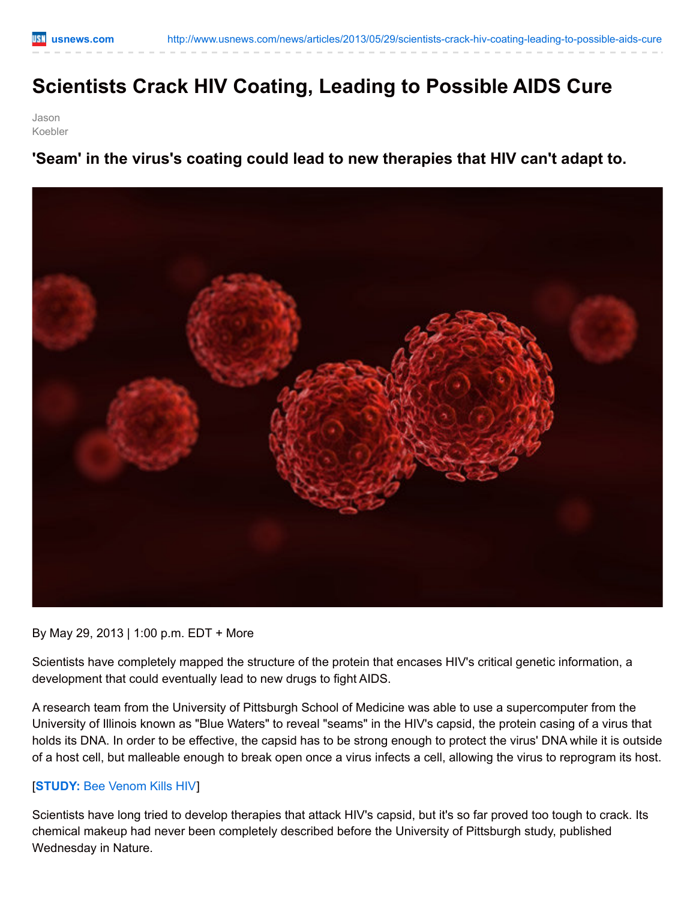## **Scientists Crack HIV Coating, Leading to Possible AIDS Cure**

Jason Koebler

**'Seam' in the virus's coating could lead to new therapies that HIV can't adapt to.**



By May 29, 2013 | 1:00 p.m. EDT + More

Scientists have completely mapped the structure of the protein that encases HIV's critical genetic information, a development that could eventually lead to new drugs to fight AIDS.

A research team from the University of Pittsburgh School of Medicine was able to use a supercomputer from the University of Illinois known as "Blue Waters" to reveal "seams" in the HIV's capsid, the protein casing of a virus that holds its DNA. In order to be effective, the capsid has to be strong enough to protect the virus' DNA while it is outside of a host cell, but malleable enough to break open once a virus infects a cell, allowing the virus to reprogram its host.

## [**[STUDY:](http://www.usnews.com/news/articles/2013/03/08/study-bee-venom-kills-hiv)** Bee Venom Kills HIV]

Scientists have long tried to develop therapies that attack HIV's capsid, but it's so far proved too tough to crack. Its chemical makeup had never been completely described before the University of Pittsburgh study, published Wednesday in Nature.